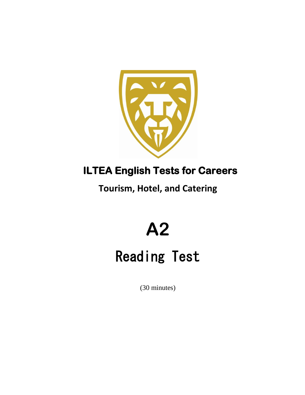

### **ILTEA English Tests for Careers**

**Tourism, Hotel, and Catering**

## **A2**

## Reading Test

(30 minutes)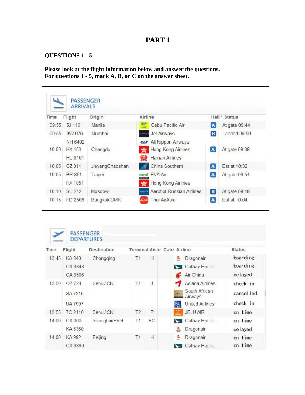### **QUESTIONS 1 - 5**

**Please look at the flight information below and answer the questions. For questions 1 - 5, mark A, B, or C on the answer sheet.**

|       |         | <b>ARRIVALS</b> |                                  |              |               |
|-------|---------|-----------------|----------------------------------|--------------|---------------|
| Time  | Flight  | Origin          | Airline                          |              | Hall * Status |
| 09:55 | 5J 110  | Manila          | Cebu Pacific Air<br>X            | A            | At gate 09:44 |
| 09:55 | 9W 076  | Mumbai          | <b>Jet Airways</b>               | B            | Landed 09:50  |
|       | NH 6402 |                 | All Nippon Airways<br>ANA.       |              |               |
| 10:00 | HX 453  | Chengdu         | Hong Kong Airlines               | $\mathbf{A}$ | At gate 09:38 |
|       | HU 8161 |                 | $\bullet$<br>Hainan Airlines     |              |               |
| 10:05 | CZ 311  | JieyangChaoshan | China Southern                   | A            | Est at 10:32  |
| 10:05 | BR 851  | Taipei          | FVA Air<br><b>Train &amp;</b>    | $\sqrt{a}$   | At gate 09:54 |
|       | HX 1851 |                 | Hong Kong Airlines               |              |               |
| 10:10 | SU 212  | Moscow          | Aeroflot Russian Airlines<br>--- | B            | At gate 09:48 |
| 10:15 | FD 2508 | Bangkok/DMK     | Thai AirAsia                     | A            | Est at 10:04  |

| Time  | Flight                              | <b>Destination</b> |                | Terminal Aisle Gate Airline |                   |                                                                       | <b>Status</b>                      |
|-------|-------------------------------------|--------------------|----------------|-----------------------------|-------------------|-----------------------------------------------------------------------|------------------------------------|
| 13:45 | KA 840<br>CX 6848<br>CA 6506        | Chongqing          | T1             | Н                           | ₹                 | Dragonair<br>Cathay Pacific<br>Air China                              | boarding<br>boarding<br>delayed    |
| 13:50 | OZ 724<br>SA 7216<br><b>UA 7997</b> | Seoul/ICN          | T1             | J                           | $\mathbf{Z}$<br>麹 | Asiana Airlines<br>South African<br>Airways<br><b>United Airlines</b> | check in<br>cancel led<br>check in |
| 13:55 | 7C 2110                             | Seoul/ICN          | T <sub>2</sub> | P                           | $\mathbf{y}$      | <b>JEJU AIR</b>                                                       | on time                            |
| 14:00 | CX 360<br>KA 5360                   | Shanghai/PVG       | T1             | BC                          | ╰<br>à            | Cathay Pacific<br>Dragonair                                           | on time<br>delayed                 |
| 14:00 | KA 992<br>CX 6890                   | Beijing            | T1             | H                           | ø                 | Dragonair<br>Cathay Pacific                                           | on time<br>on time                 |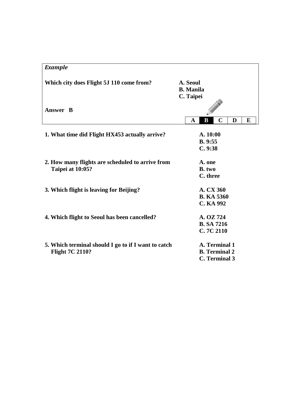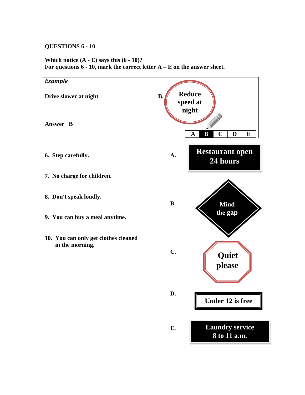### **QUESTIONS 6 - 10**

**Which notice (A - E) says this (6 - 10)? For questions 6 - 10, mark the correct letter A – E on the answer sheet.**

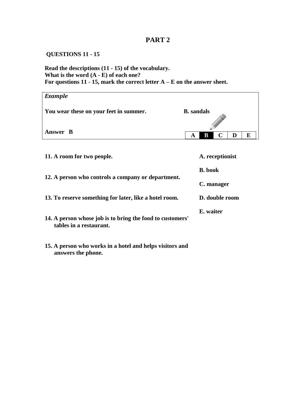### **QUESTIONS 11 - 15**

**Read the descriptions (11 - 15) of the vocabulary. What is the word (A - E) of each one? For questions 11 - 15, mark the correct letter A – E on the answer sheet.**

| <b>B.</b> sandals |
|-------------------|
| B<br>E<br>A       |
|                   |

| 11. A room for two people.                                                           | A. receptionist |
|--------------------------------------------------------------------------------------|-----------------|
|                                                                                      | <b>B.</b> book  |
| 12. A person who controls a company or department.                                   | C. manager      |
| 13. To reserve something for later, like a hotel room.                               | D. double room  |
| 14. A person whose job is to bring the food to customers'<br>tables in a restaurant. | E. waiter       |

**15. A person who works in a hotel and helps visitors and answers the phone.**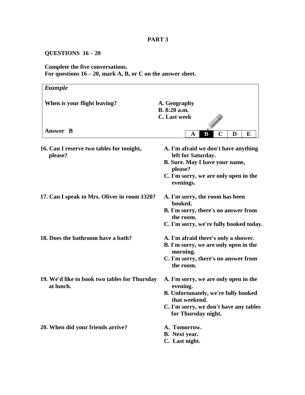### **QUESTIONS 16 – 20**

### **Complete the five conversations. For questions 16 – 20, mark A, B, or C on the answer sheet.**

| <b>Example</b>                                             |                                                               |
|------------------------------------------------------------|---------------------------------------------------------------|
| When is your flight leaving?                               | A. Geography                                                  |
|                                                            | B. 8:20 a.m.                                                  |
|                                                            | C. Last week                                                  |
|                                                            |                                                               |
| Answer B                                                   | $\mathbf C$<br>D<br>E<br>В<br>A                               |
| 16. Can I reserve two tables for tonight,<br>please?       | A. I'm afraid we don't have anything<br>left for Saturday.    |
|                                                            | B. Sure. May I have your name,<br>please?                     |
|                                                            | C. I'm sorry, we are only open in the<br>evenings.            |
| 17. Can I speak to Mrs. Oliver in room 1320?               | A. I'm sorry, the room has been<br>booked.                    |
|                                                            | B. I'm sorry, there's no answer from<br>the room.             |
|                                                            | C. I'm sorry, we're fully booked today.                       |
| 18. Does the bathroom have a bath?                         | A. I'm afraid there's only a shower.                          |
|                                                            | B. I'm sorry, we are only open in the<br>morning.             |
|                                                            | C. I'm sorry, there's no answer from<br>the room.             |
| 19. We'd like to book two tables for Thursday<br>at lunch. | A. I'm sorry, we are only open in the<br>evening.             |
|                                                            | <b>B.</b> Unfortunately, we're fully booked<br>that weekend.  |
|                                                            | C. I'm sorry, we don't have any tables<br>for Thursday night. |
| 20. When did your friends arrive?                          | A. Tomorrow.                                                  |
|                                                            | <b>B.</b> Next year.                                          |
|                                                            | C. Last night.                                                |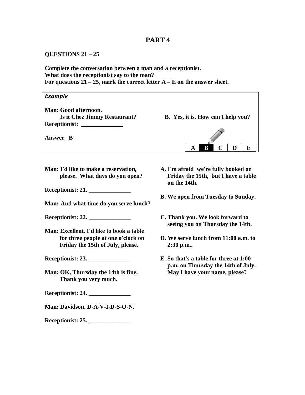#### **QUESTIONS 21 – 25**

**Complete the conversation between a man and a receptionist. What does the receptionist say to the man? For questions 21 – 25, mark the correct letter A – E on the answer sheet.**



**Man: I'd like to make a reservation, please. What days do you open?**

**Receptionist: 21. \_\_\_\_\_\_\_\_\_\_\_\_\_\_**

**Man: And what time do you serve lunch?**

**Receptionist: 22. \_\_\_\_\_\_\_\_\_\_\_\_\_\_**

**Man: Excellent. I'd like to book a table for three people at one o'clock on Friday the 15th of July, please.**

**Receptionist: 23. \_\_\_\_\_\_\_\_\_\_\_\_\_\_**

**Man: OK, Thursday the 14th is fine. Thank you very much.**

**Receptionist: 24. \_\_\_\_\_\_\_\_\_\_\_\_\_\_**

**Man: Davidson. D-A-V-I-D-S-O-N.**

**Receptionist: 25. \_\_\_\_\_\_\_\_\_\_\_\_\_\_**

- **A. I'm afraid we're fully booked on Friday the 15th, but I have a table on the 14th.**
- **B. We open from Tuesday to Sunday.**
- **C. Thank you. We look forward to seeing you on Thursday the 14th.**
- **D. We serve lunch from 11:00 a.m. to 2:30 p.m..**
- **E. So that's a table for three at 1:00 p.m. on Thursday the 14th of July. May I have your name, please?**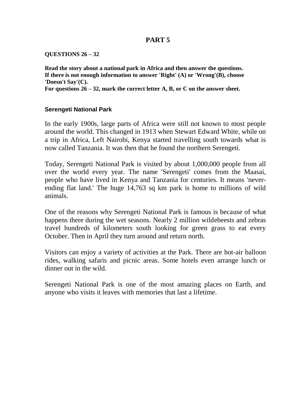### **QUESTIONS 26 – 32**

**Read the story about a national park in Africa and then answer the questions. If there is not enough information to answer 'Right' (A) or 'Wrong'(B), choose 'Doesn't Say'(C).**

**For questions 26 – 32, mark the correct letter A, B, or C on the answer sheet.**

### **Serengeti National Park**

In the early 1900s, large parts of Africa were still not known to most people around the world. This changed in 1913 when Stewart Edward White, while on a trip in Africa, Left Nairobi, Kenya started travelling south towards what is now called Tanzania. It was then that he found the northern Serengeti.

Today, Serengeti National Park is visited by about 1,000,000 people from all over the world every year. The name 'Serengeti' comes from the Maasai, people who have lived in Kenya and Tanzania for centuries. It means 'neverending flat land.' The huge 14,763 sq km park is home to millions of wild animals.

One of the reasons why Serengeti National Park is famous is because of what happens there during the wet seasons. Nearly 2 million wildebeests and zebras travel hundreds of kilometers south looking for green grass to eat every October. Then in April they turn around and return north.

Visitors can enjoy a variety of activities at the Park. There are hot-air balloon rides, walking safaris and picnic areas. Some hotels even arrange lunch or dinner out in the wild.

Serengeti National Park is one of the most amazing places on Earth, and anyone who visits it leaves with memories that last a lifetime.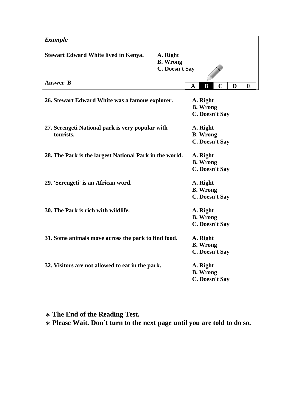| <b>Example</b>                                                |                                                      |   |                                               |             |   |   |
|---------------------------------------------------------------|------------------------------------------------------|---|-----------------------------------------------|-------------|---|---|
| <b>Stewart Edward White lived in Kenya.</b>                   | A. Right<br><b>B.</b> Wrong<br><b>C. Doesn't Say</b> |   |                                               |             |   |   |
| <b>Answer B</b>                                               |                                                      | A | B                                             | $\mathbf C$ | D | E |
| 26. Stewart Edward White was a famous explorer.               |                                                      |   | A. Right<br><b>B.</b> Wrong<br>C. Doesn't Say |             |   |   |
| 27. Serengeti National park is very popular with<br>tourists. |                                                      |   | A. Right<br><b>B.</b> Wrong<br>C. Doesn't Say |             |   |   |
| 28. The Park is the largest National Park in the world.       |                                                      |   | A. Right<br><b>B.</b> Wrong<br>C. Doesn't Say |             |   |   |
| 29. 'Serengeti' is an African word.                           |                                                      |   | A. Right<br><b>B.</b> Wrong<br>C. Doesn't Say |             |   |   |
| 30. The Park is rich with wildlife.                           |                                                      |   | A. Right<br><b>B.</b> Wrong<br>C. Doesn't Say |             |   |   |
| 31. Some animals move across the park to find food.           |                                                      |   | A. Right<br><b>B.</b> Wrong<br>C. Doesn't Say |             |   |   |
| 32. Visitors are not allowed to eat in the park.              |                                                      |   | A. Right<br><b>B.</b> Wrong<br>C. Doesn't Say |             |   |   |

\* **The End of the Reading Test.** 

\* **Please Wait. Don't turn to the next page until you are told to do so.**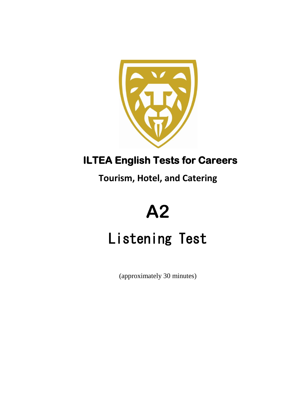

### **ILTEA English Tests for Careers**

**Tourism, Hotel, and Catering**

# **A2**

## Listening Test

(approximately 30 minutes)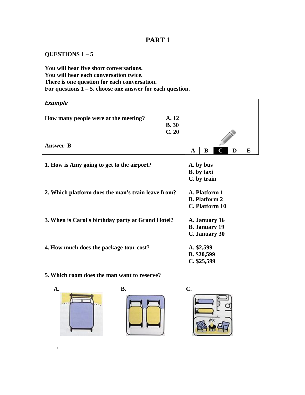### **QUESTIONS 1 – 5**

**You will hear five short conversations. You will hear each conversation twice. There is one question for each conversation. For questions 1 – 5, choose one answer for each question.**

| <b>Example</b>                                     |                                                         |   |
|----------------------------------------------------|---------------------------------------------------------|---|
| How many people were at the meeting?               | A. 12<br><b>B.30</b><br>C.20                            |   |
| <b>Answer B</b>                                    | D<br>B<br>A                                             | E |
| 1. How is Amy going to get to the airport?         | A. by bus<br><b>B.</b> by taxi<br>C. by train           |   |
| 2. Which platform does the man's train leave from? | A. Platform 1<br><b>B.</b> Platform 2<br>C. Platform 10 |   |
| 3. When is Carol's birthday party at Grand Hotel?  | A. January 16<br><b>B.</b> January 19<br>C. January 30  |   |
| 4. How much does the package tour cost?            | A. \$2,599<br>B. \$20,599<br>C. \$25,599                |   |

### **5. Which room does the man want to reserve?**



 **.** 



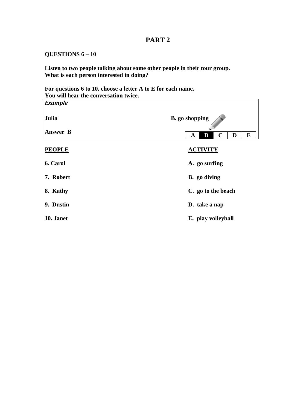### **QUESTIONS 6 – 10**

**Listen to two people talking about some other people in their tour group. What is each person interested in doing?**

**For questions 6 to 10, choose a letter A to E for each name. You will hear the conversation twice.**

| <b>Example</b>  |                                            |  |  |  |  |
|-----------------|--------------------------------------------|--|--|--|--|
| Julia           | <b>B.</b> go shopping                      |  |  |  |  |
| <b>Answer B</b> | B<br>$\mathbf C$<br>E<br>D<br>$\mathbf{A}$ |  |  |  |  |
| <b>PEOPLE</b>   | <b>ACTIVITY</b>                            |  |  |  |  |
| 6. Carol        | A. go surfing                              |  |  |  |  |
| 7. Robert       | B. go diving                               |  |  |  |  |
| 8. Kathy        | C. go to the beach                         |  |  |  |  |
| 9. Dustin       | D. take a nap                              |  |  |  |  |
| 10. Janet       | E. play volleyball                         |  |  |  |  |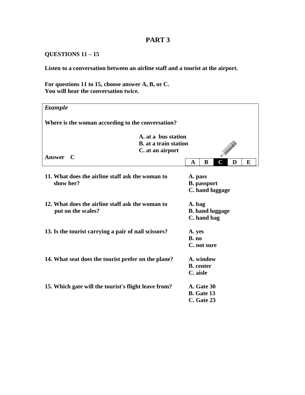### **QUESTIONS 11 – 15**

**Listen to a conversation between an airline staff and a tourist at the airport.**

**For questions 11 to 15, choose answer A, B, or C. You will hear the conversation twice.**

| <b>Example</b>                                       |                              |                    |   |                        |   |   |  |  |
|------------------------------------------------------|------------------------------|--------------------|---|------------------------|---|---|--|--|
| Where is the woman according to the conversation?    |                              |                    |   |                        |   |   |  |  |
|                                                      | A. at a bus station          |                    |   |                        |   |   |  |  |
|                                                      | <b>B.</b> at a train station |                    |   |                        |   |   |  |  |
| C. at an airport                                     |                              |                    |   |                        |   |   |  |  |
| Answer C                                             |                              |                    |   |                        |   |   |  |  |
|                                                      |                              | A                  | B | C                      | D | E |  |  |
|                                                      |                              |                    |   |                        |   |   |  |  |
| 11. What does the airline staff ask the woman to     |                              | A. pass            |   |                        |   |   |  |  |
| show her?                                            |                              | <b>B.</b> passport |   |                        |   |   |  |  |
|                                                      |                              |                    |   | C. hand luggage        |   |   |  |  |
|                                                      |                              |                    |   |                        |   |   |  |  |
| 12. What does the airline staff ask the woman to     |                              |                    |   | A. bag                 |   |   |  |  |
|                                                      |                              |                    |   | <b>B.</b> hand luggage |   |   |  |  |
| put on the scales?                                   |                              |                    |   |                        |   |   |  |  |
|                                                      |                              | C. hand bag        |   |                        |   |   |  |  |
| 13. Is the tourist carrying a pair of nail scissors? |                              | A. yes             |   |                        |   |   |  |  |
|                                                      |                              | B. no              |   |                        |   |   |  |  |
|                                                      |                              | C. not sure        |   |                        |   |   |  |  |
|                                                      |                              |                    |   |                        |   |   |  |  |
| 14. What seat does the tourist prefer on the plane?  |                              | A. window          |   |                        |   |   |  |  |
|                                                      |                              | <b>B.</b> center   |   |                        |   |   |  |  |
|                                                      |                              |                    |   |                        |   |   |  |  |
|                                                      |                              | C. aisle           |   |                        |   |   |  |  |
| 15. Which gate will the tourist's flight leave from? |                              | A. Gate 30         |   |                        |   |   |  |  |
|                                                      |                              | <b>B.</b> Gate 13  |   |                        |   |   |  |  |
|                                                      |                              | C. Gate 23         |   |                        |   |   |  |  |
|                                                      |                              |                    |   |                        |   |   |  |  |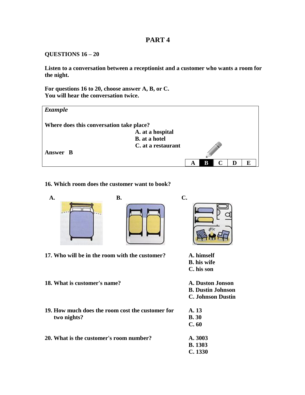### **QUESTIONS 16 – 20**

**Listen to a conversation between a receptionist and a customer who wants a room for the night.**

**For questions 16 to 20, choose answer A, B, or C. You will hear the conversation twice.**



### **16. Which room does the customer want to book?**







**17. Who will be in the room with the customer? A. himself**

- **18. What is customer's name? A. Duston Jonson**
- **19. How much does the room cost the customer for two nights?**
- **20. What is the customer's room number?**
- **B. his wife**
- **C. his son**
- 
- **B. Dustin Johnson**
- **C. Johnson Dustin**

| A. 13   |
|---------|
| B. 30   |
| C.60    |
|         |
|         |
| A. 3003 |
| B. 1303 |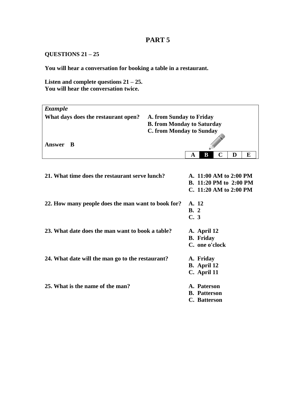### **QUESTIONS 21 – 25**

**You will hear a conversation for booking a table in a restaurant.**

**Listen and complete questions 21 – 25. You will hear the conversation twice.**

| <b>Example</b>                                     |                                   |       |                            |             |   |   |
|----------------------------------------------------|-----------------------------------|-------|----------------------------|-------------|---|---|
| What days does the restaurant open?                | A. from Sunday to Friday          |       |                            |             |   |   |
|                                                    | <b>B. from Monday to Saturday</b> |       |                            |             |   |   |
|                                                    | <b>C. from Monday to Sunday</b>   |       |                            |             |   |   |
|                                                    |                                   |       |                            |             |   |   |
| <b>Answer</b><br>B                                 |                                   |       |                            |             |   |   |
|                                                    |                                   | A     | B                          | $\mathbf C$ | D | E |
|                                                    |                                   |       |                            |             |   |   |
|                                                    |                                   |       |                            |             |   |   |
| 21. What time does the restaurant serve lunch?     |                                   |       | A. 11:00 AM to 2:00 PM     |             |   |   |
|                                                    |                                   |       | B. 11:20 PM to 2:00 PM     |             |   |   |
|                                                    |                                   |       | C. $11:20$ AM to $2:00$ PM |             |   |   |
|                                                    |                                   |       |                            |             |   |   |
| 22. How many people does the man want to book for? |                                   | A. 12 |                            |             |   |   |
|                                                    |                                   | B.2   |                            |             |   |   |
|                                                    |                                   | C.3   |                            |             |   |   |
|                                                    |                                   |       |                            |             |   |   |
| 23. What date does the man want to book a table?   |                                   |       | A. April 12                |             |   |   |
|                                                    |                                   |       | <b>B.</b> Friday           |             |   |   |
|                                                    |                                   |       | C. one o'clock             |             |   |   |
|                                                    |                                   |       |                            |             |   |   |
| 24. What date will the man go to the restaurant?   |                                   |       | A. Friday                  |             |   |   |
|                                                    |                                   |       | B. April 12                |             |   |   |
|                                                    |                                   |       | C. April 11                |             |   |   |
|                                                    |                                   |       |                            |             |   |   |
| 25. What is the name of the man?                   |                                   |       | A. Paterson                |             |   |   |
|                                                    |                                   |       | <b>B.</b> Patterson        |             |   |   |
|                                                    |                                   |       | C. Batterson               |             |   |   |